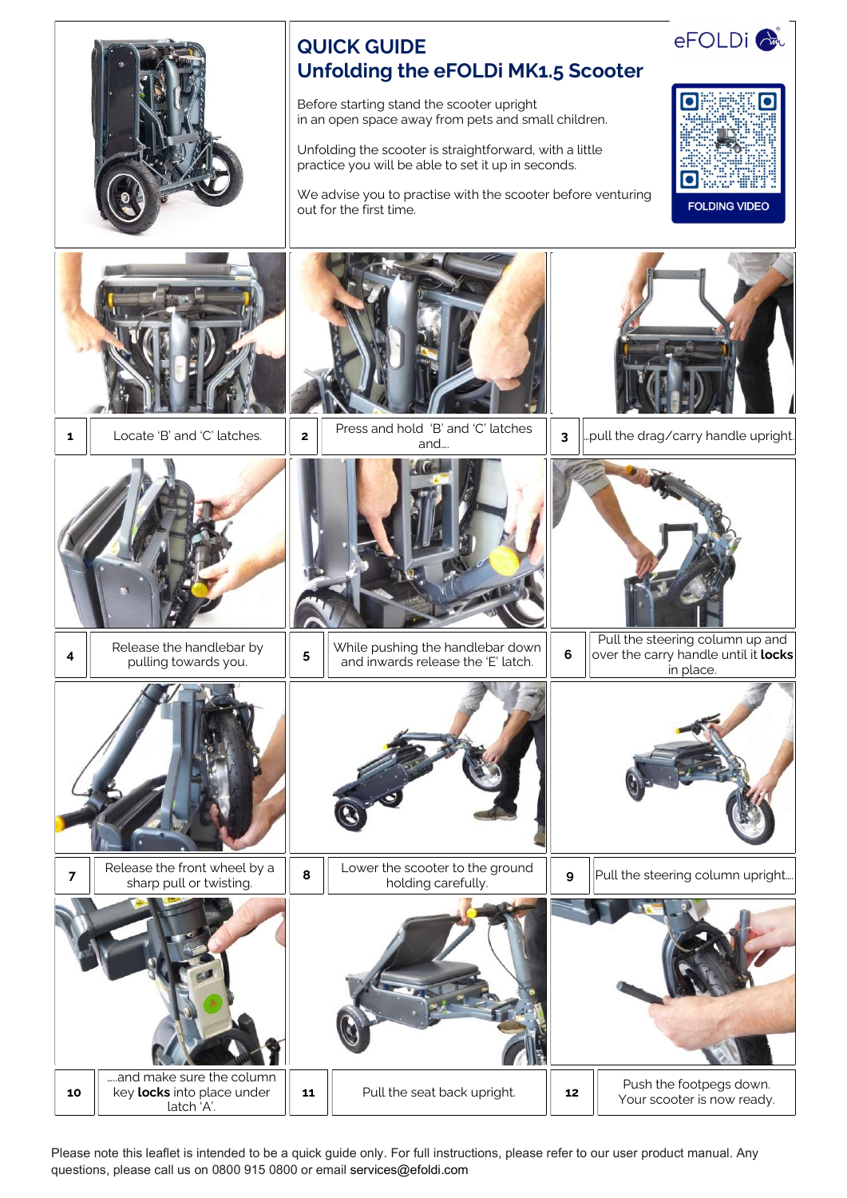

Please note this leaflet is intended to be a quick guide only. For full instructions, please refer to our user product manual. Any questions, please call us on 0800 915 0800 or email services@efoldi.com